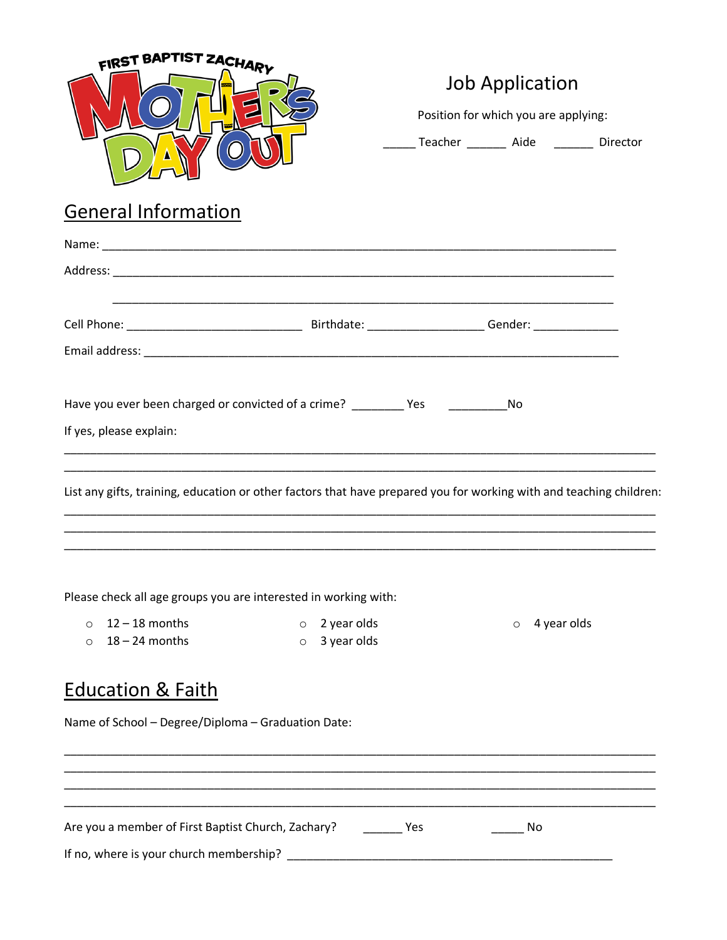| FIRST BAPTIST ZACHARV                                                                                                                          |                            | <b>Job Application</b><br>Position for which you are applying:<br>_______ Teacher ________ Aide _________ Director |  |
|------------------------------------------------------------------------------------------------------------------------------------------------|----------------------------|--------------------------------------------------------------------------------------------------------------------|--|
| <b>General Information</b>                                                                                                                     |                            |                                                                                                                    |  |
|                                                                                                                                                |                            |                                                                                                                    |  |
|                                                                                                                                                |                            |                                                                                                                    |  |
|                                                                                                                                                |                            |                                                                                                                    |  |
|                                                                                                                                                |                            |                                                                                                                    |  |
| If yes, please explain:<br>List any gifts, training, education or other factors that have prepared you for working with and teaching children: |                            |                                                                                                                    |  |
| Please check all age groups you are interested in working with:                                                                                |                            |                                                                                                                    |  |
| $12 - 18$ months<br>$\circ$<br>$\circ$<br>$18 - 24$ months<br>$\Omega$<br>$\circ$                                                              | 2 year olds<br>3 year olds | $\circ$ 4 year olds                                                                                                |  |
| <b>Education &amp; Faith</b>                                                                                                                   |                            |                                                                                                                    |  |
| Name of School - Degree/Diploma - Graduation Date:                                                                                             |                            |                                                                                                                    |  |
|                                                                                                                                                |                            |                                                                                                                    |  |
|                                                                                                                                                |                            |                                                                                                                    |  |
|                                                                                                                                                |                            |                                                                                                                    |  |

| Are you a member of First Baptist Church, Zachary? | Yes | No |
|----------------------------------------------------|-----|----|
|                                                    |     |    |